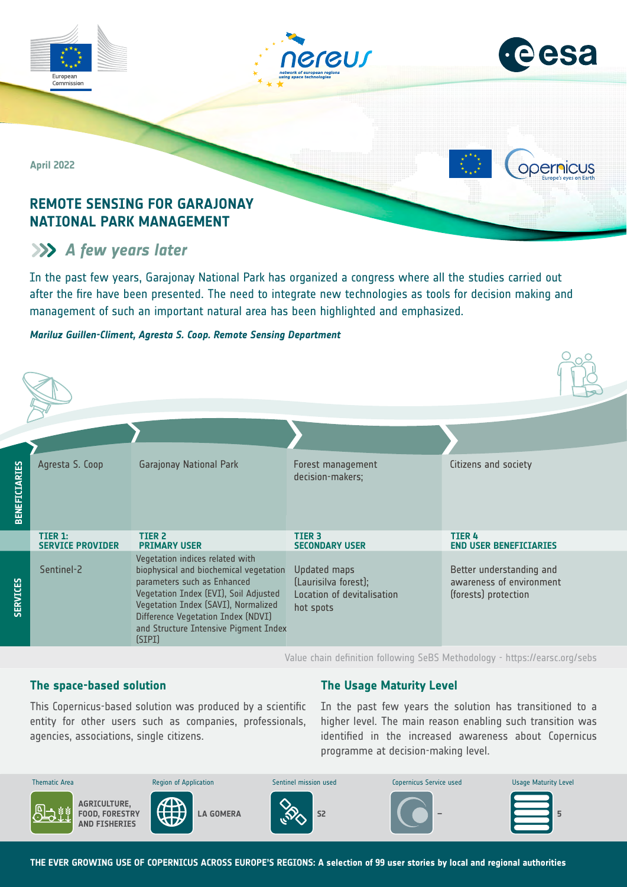

# **A** few years later

In the past few years, Garajonay National Park has organized a congress where all the studies carried out after the fire have been presented. The need to integrate new technologies as tools for decision making and management of such an important natural area has been highlighted and emphasized.

## *Mariluz Guillen-Climent, Agresta S. Coop. Remote Sensing Department*

| <b>BENEFICIARIES</b> | Agresta S. Coop                    | <b>Garajonay National Park</b>                                                                                                                                                                                                                                                    | Forest management<br>decision-makers;                                           | Citizens and society                                                         |
|----------------------|------------------------------------|-----------------------------------------------------------------------------------------------------------------------------------------------------------------------------------------------------------------------------------------------------------------------------------|---------------------------------------------------------------------------------|------------------------------------------------------------------------------|
|                      | TIER 1:<br><b>SERVICE PROVIDER</b> | <b>TIER 2</b><br><b>PRIMARY USER</b>                                                                                                                                                                                                                                              | <b>TIER 3</b><br><b>SECONDARY USER</b>                                          | <b>TIER 4</b><br><b>END USER BENEFICIARIES</b>                               |
| <b>SERVICES</b>      | Sentinel-2                         | Vegetation indices related with<br>biophysical and biochemical vegetation<br>parameters such as Enhanced<br>Vegetation Index (EVI), Soil Adjusted<br>Vegetation Index (SAVI), Normalized<br>Difference Vegetation Index (NDVI)<br>and Structure Intensive Pigment Index<br>(SIPI) | Updated maps<br>(Laurisilva forest);<br>Location of devitalisation<br>hot spots | Better understanding and<br>awareness of environment<br>(forests) protection |

Value chain definition following SeBS Methodology -<https://earsc.org/sebs>

# **The space-based solution**

**The Usage Maturity Level**

agencies, associations, single citizens. This Copernicus-based solution was produced by a scientific entity for other users such as companies, professionals,

In the past few years the solution has transitioned to a higher level. The main reason enabling such transition was identified in the increased awareness about Copernicus programme at decision-making level.



**THE EVER GROWING USE OF COPERNICUS ACROSS EUROPE'S REGIONS: A selection of 99 user stories by local and regional authorities**